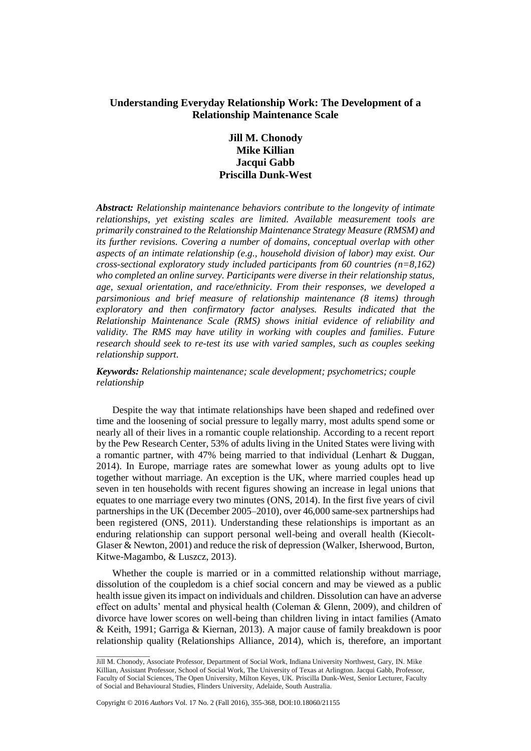# **Understanding Everyday Relationship Work: The Development of a Relationship Maintenance Scale**

# **Jill M. Chonody Mike Killian Jacqui Gabb Priscilla Dunk-West**

*Abstract: Relationship maintenance behaviors contribute to the longevity of intimate relationships, yet existing scales are limited. Available measurement tools are primarily constrained to the Relationship Maintenance Strategy Measure (RMSM) and its further revisions. Covering a number of domains, conceptual overlap with other aspects of an intimate relationship (e.g., household division of labor) may exist. Our cross-sectional exploratory study included participants from 60 countries (n=8,162) who completed an online survey. Participants were diverse in their relationship status, age, sexual orientation, and race/ethnicity. From their responses, we developed a parsimonious and brief measure of relationship maintenance (8 items) through exploratory and then confirmatory factor analyses. Results indicated that the Relationship Maintenance Scale (RMS) shows initial evidence of reliability and validity. The RMS may have utility in working with couples and families. Future research should seek to re-test its use with varied samples, such as couples seeking relationship support.*

*Keywords: Relationship maintenance; scale development; psychometrics; couple relationship*

Despite the way that intimate relationships have been shaped and redefined over time and the loosening of social pressure to legally marry, most adults spend some or nearly all of their lives in a romantic couple relationship. According to a recent report by the Pew Research Center, 53% of adults living in the United States were living with a romantic partner, with 47% being married to that individual (Lenhart & Duggan, 2014). In Europe, marriage rates are somewhat lower as young adults opt to live together without marriage. An exception is the UK, where married couples head up seven in ten households with recent figures showing an increase in legal unions that equates to one marriage every two minutes [\(ONS, 2014\)](#page-12-0). In the first five years of civil partnerships in the UK (December 2005–2010), over 46,000 same-sex partnerships had been registered [\(ONS, 2011\)](#page-12-1). Understanding these relationships is important as an enduring relationship can support personal well-being and overall health (Kiecolt-Glaser & Newton, 2001) and reduce the risk of depression (Walker, Isherwood, Burton, Kitwe-Magambo, & Luszcz, 2013).

Whether the couple is married or in a committed relationship without marriage, dissolution of the coupledom is a chief social concern and may be viewed as a public health issue given its impact on individuals and children. Dissolution can have an adverse effect on adults' mental and physical health (Coleman & Glenn, 2009), and children of divorce have lower scores on well-being than children living in intact families (Amato & Keith, 1991; Garriga & Kiernan, 2013). A major cause of family breakdown is poor relationship quality (Relationships Alliance, 2014), which is, therefore, an important

 $\overline{\phantom{a}}$  , where  $\overline{\phantom{a}}$ 

Jill M. Chonody, Associate Professor, Department of Social Work, Indiana University Northwest, Gary, IN. Mike Killian, Assistant Professor, School of Social Work, The University of Texas at Arlington. Jacqui Gabb, Professor, Faculty of Social Sciences, The Open University, Milton Keyes, UK. Priscilla Dunk-West, Senior Lecturer, Faculty of Social and Behavioural Studies, Flinders University, Adelaide, South Australia.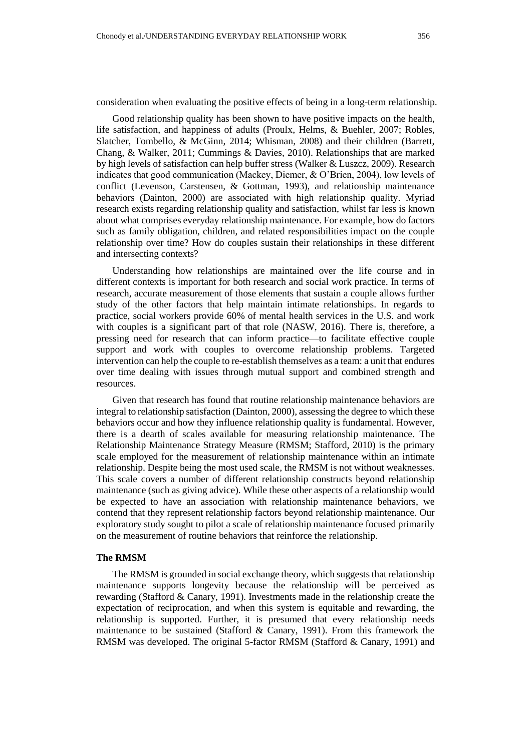consideration when evaluating the positive effects of being in a long-term relationship.

Good relationship quality has been shown to have positive impacts on the health, life satisfaction, and happiness of adults (Proulx, Helms, & Buehler, 2007; Robles, Slatcher, Tombello, & McGinn, 2014; Whisman, 2008) and their children (Barrett, Chang, & Walker, 2011; Cummings & Davies, 2010). Relationships that are marked by high levels of satisfaction can help buffer stress (Walker & Luszcz, 2009). Research indicates that good communication (Mackey, Diemer, & O'Brien, 2004), low levels of conflict (Levenson, Carstensen, & Gottman, 1993), and relationship maintenance behaviors (Dainton, 2000) are associated with high relationship quality. Myriad research exists regarding relationship quality and satisfaction, whilst far less is known about what comprises everyday relationship maintenance. For example, how do factors such as family obligation, children, and related responsibilities impact on the couple relationship over time? How do couples sustain their relationships in these different and intersecting contexts?

Understanding how relationships are maintained over the life course and in different contexts is important for both research and social work practice. In terms of research, accurate measurement of those elements that sustain a couple allows further study of the other factors that help maintain intimate relationships. In regards to practice, social workers provide 60% of mental health services in the U.S. and work with couples is a significant part of that role (NASW, 2016). There is, therefore, a pressing need for research that can inform practice—to facilitate effective couple support and work with couples to overcome relationship problems. Targeted intervention can help the couple to re-establish themselves as a team: a unit that endures over time dealing with issues through mutual support and combined strength and resources.

Given that research has found that routine relationship maintenance behaviors are integral to relationship satisfaction (Dainton, 2000), assessing the degree to which these behaviors occur and how they influence relationship quality is fundamental. However, there is a dearth of scales available for measuring relationship maintenance. The Relationship Maintenance Strategy Measure (RMSM; Stafford, 2010) is the primary scale employed for the measurement of relationship maintenance within an intimate relationship. Despite being the most used scale, the RMSM is not without weaknesses. This scale covers a number of different relationship constructs beyond relationship maintenance (such as giving advice). While these other aspects of a relationship would be expected to have an association with relationship maintenance behaviors, we contend that they represent relationship factors beyond relationship maintenance. Our exploratory study sought to pilot a scale of relationship maintenance focused primarily on the measurement of routine behaviors that reinforce the relationship.

#### **The RMSM**

The RMSM is grounded in social exchange theory, which suggeststhat relationship maintenance supports longevity because the relationship will be perceived as rewarding (Stafford & Canary, 1991). Investments made in the relationship create the expectation of reciprocation, and when this system is equitable and rewarding, the relationship is supported. Further, it is presumed that every relationship needs maintenance to be sustained (Stafford & Canary, 1991). From this framework the RMSM was developed. The original 5-factor RMSM (Stafford & Canary, 1991) and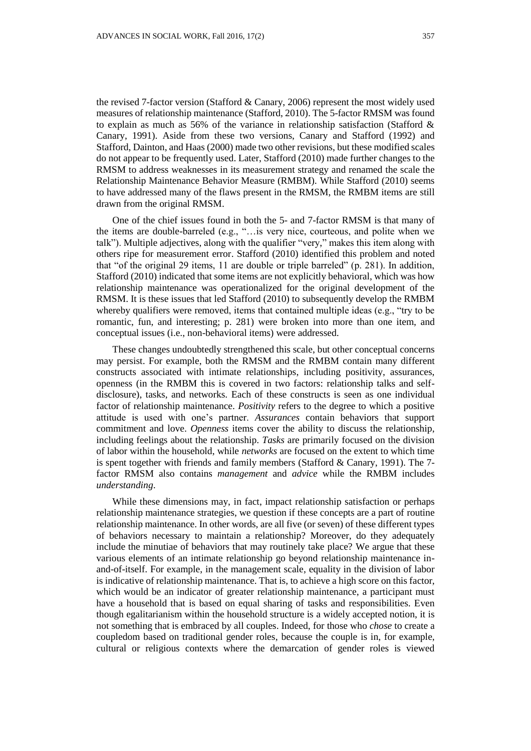the revised 7-factor version (Stafford & Canary, 2006) represent the most widely used measures of relationship maintenance (Stafford, 2010). The 5-factor RMSM was found to explain as much as 56% of the variance in relationship satisfaction (Stafford & Canary, 1991). Aside from these two versions, Canary and Stafford (1992) and Stafford, Dainton, and Haas (2000) made two other revisions, but these modified scales do not appear to be frequently used. Later, Stafford (2010) made further changes to the RMSM to address weaknesses in its measurement strategy and renamed the scale the Relationship Maintenance Behavior Measure (RMBM). While Stafford (2010) seems to have addressed many of the flaws present in the RMSM, the RMBM items are still drawn from the original RMSM.

One of the chief issues found in both the 5- and 7-factor RMSM is that many of the items are double-barreled (e.g., "…is very nice, courteous, and polite when we talk"). Multiple adjectives, along with the qualifier "very," makes this item along with others ripe for measurement error. Stafford (2010) identified this problem and noted that "of the original 29 items, 11 are double or triple barreled" (p. 281). In addition, Stafford (2010) indicated that some items are not explicitly behavioral, which was how relationship maintenance was operationalized for the original development of the RMSM. It is these issues that led Stafford (2010) to subsequently develop the RMBM whereby qualifiers were removed, items that contained multiple ideas (e.g., "try to be romantic, fun, and interesting; p. 281) were broken into more than one item, and conceptual issues (i.e., non-behavioral items) were addressed.

These changes undoubtedly strengthened this scale, but other conceptual concerns may persist. For example, both the RMSM and the RMBM contain many different constructs associated with intimate relationships, including positivity, assurances, openness (in the RMBM this is covered in two factors: relationship talks and selfdisclosure), tasks, and networks. Each of these constructs is seen as one individual factor of relationship maintenance. *Positivity* refers to the degree to which a positive attitude is used with one's partner. *Assurances* contain behaviors that support commitment and love. *Openness* items cover the ability to discuss the relationship, including feelings about the relationship. *Tasks* are primarily focused on the division of labor within the household, while *networks* are focused on the extent to which time is spent together with friends and family members (Stafford & Canary, 1991). The 7 factor RMSM also contains *management* and *advice* while the RMBM includes *understanding*.

While these dimensions may, in fact, impact relationship satisfaction or perhaps relationship maintenance strategies, we question if these concepts are a part of routine relationship maintenance. In other words, are all five (or seven) of these different types of behaviors necessary to maintain a relationship? Moreover, do they adequately include the minutiae of behaviors that may routinely take place? We argue that these various elements of an intimate relationship go beyond relationship maintenance inand-of-itself. For example, in the management scale, equality in the division of labor is indicative of relationship maintenance. That is, to achieve a high score on this factor, which would be an indicator of greater relationship maintenance, a participant must have a household that is based on equal sharing of tasks and responsibilities. Even though egalitarianism within the household structure is a widely accepted notion, it is not something that is embraced by all couples. Indeed, for those who *chose* to create a coupledom based on traditional gender roles, because the couple is in, for example, cultural or religious contexts where the demarcation of gender roles is viewed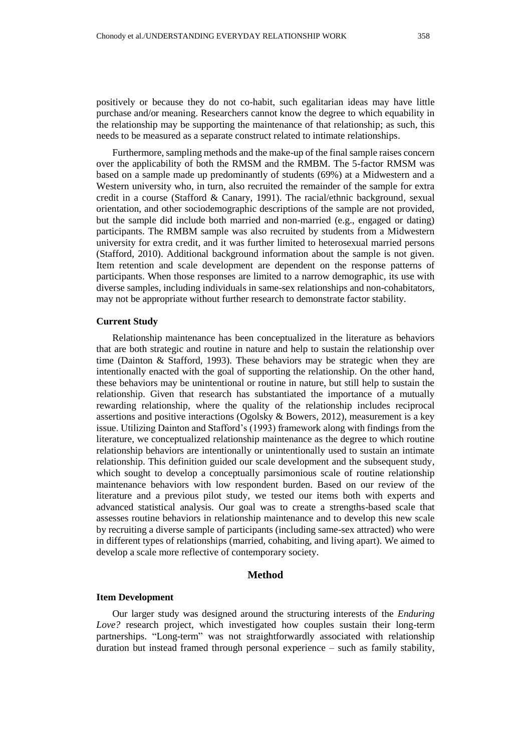positively or because they do not co-habit, such egalitarian ideas may have little purchase and/or meaning. Researchers cannot know the degree to which equability in the relationship may be supporting the maintenance of that relationship; as such, this needs to be measured as a separate construct related to intimate relationships.

Furthermore, sampling methods and the make-up of the final sample raises concern over the applicability of both the RMSM and the RMBM. The 5-factor RMSM was based on a sample made up predominantly of students (69%) at a Midwestern and a Western university who, in turn, also recruited the remainder of the sample for extra credit in a course (Stafford & Canary, 1991). The racial/ethnic background, sexual orientation, and other sociodemographic descriptions of the sample are not provided, but the sample did include both married and non-married (e.g., engaged or dating) participants. The RMBM sample was also recruited by students from a Midwestern university for extra credit, and it was further limited to heterosexual married persons (Stafford, 2010). Additional background information about the sample is not given. Item retention and scale development are dependent on the response patterns of participants. When those responses are limited to a narrow demographic, its use with diverse samples, including individuals in same-sex relationships and non-cohabitators, may not be appropriate without further research to demonstrate factor stability.

### **Current Study**

Relationship maintenance has been conceptualized in the literature as behaviors that are both strategic and routine in nature and help to sustain the relationship over time (Dainton & Stafford, 1993). These behaviors may be strategic when they are intentionally enacted with the goal of supporting the relationship. On the other hand, these behaviors may be unintentional or routine in nature, but still help to sustain the relationship. Given that research has substantiated the importance of a mutually rewarding relationship, where the quality of the relationship includes reciprocal assertions and positive interactions (Ogolsky & Bowers, 2012), measurement is a key issue. Utilizing Dainton and Stafford's (1993) framework along with findings from the literature, we conceptualized relationship maintenance as the degree to which routine relationship behaviors are intentionally or unintentionally used to sustain an intimate relationship. This definition guided our scale development and the subsequent study, which sought to develop a conceptually parsimonious scale of routine relationship maintenance behaviors with low respondent burden. Based on our review of the literature and a previous pilot study, we tested our items both with experts and advanced statistical analysis. Our goal was to create a strengths-based scale that assesses routine behaviors in relationship maintenance and to develop this new scale by recruiting a diverse sample of participants (including same-sex attracted) who were in different types of relationships (married, cohabiting, and living apart). We aimed to develop a scale more reflective of contemporary society.

### **Method**

#### **Item Development**

Our larger study was designed around the structuring interests of the *Enduring Love?* research project, which investigated how couples sustain their long-term partnerships. "Long-term" was not straightforwardly associated with relationship duration but instead framed through personal experience – such as family stability,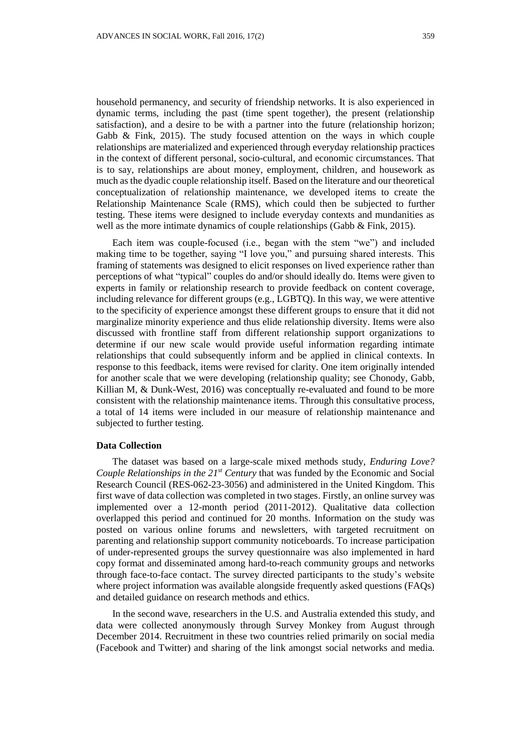household permanency, and security of friendship networks. It is also experienced in dynamic terms, including the past (time spent together), the present (relationship satisfaction), and a desire to be with a partner into the future (relationship horizon; Gabb & Fink, 2015). The study focused attention on the ways in which couple relationships are materialized and experienced through everyday relationship practices in the context of different personal, socio-cultural, and economic circumstances. That is to say, relationships are about money, employment, children, and housework as much as the dyadic couple relationship itself. Based on the literature and our theoretical conceptualization of relationship maintenance, we developed items to create the Relationship Maintenance Scale (RMS), which could then be subjected to further testing. These items were designed to include everyday contexts and mundanities as well as the more intimate dynamics of couple relationships (Gabb & Fink, 2015).

Each item was couple-focused (i.e., began with the stem "we") and included making time to be together, saying "I love you," and pursuing shared interests. This framing of statements was designed to elicit responses on lived experience rather than perceptions of what "typical" couples do and/or should ideally do. Items were given to experts in family or relationship research to provide feedback on content coverage, including relevance for different groups (e.g., LGBTQ). In this way, we were attentive to the specificity of experience amongst these different groups to ensure that it did not marginalize minority experience and thus elide relationship diversity. Items were also discussed with frontline staff from different relationship support organizations to determine if our new scale would provide useful information regarding intimate relationships that could subsequently inform and be applied in clinical contexts. In response to this feedback, items were revised for clarity. One item originally intended for another scale that we were developing (relationship quality; see Chonody, Gabb, Killian M, & Dunk-West, 2016) was conceptually re-evaluated and found to be more consistent with the relationship maintenance items. Through this consultative process, a total of 14 items were included in our measure of relationship maintenance and subjected to further testing.

### **Data Collection**

The dataset was based on a large-scale mixed methods study, *Enduring Love? Couple Relationships in the 21st Century* that was funded by the Economic and Social Research Council (RES-062-23-3056) and administered in the United Kingdom. This first wave of data collection was completed in two stages. Firstly, an online survey was implemented over a 12-month period (2011-2012). Qualitative data collection overlapped this period and continued for 20 months. Information on the study was posted on various online forums and newsletters, with targeted recruitment on parenting and relationship support community noticeboards. To increase participation of under-represented groups the survey questionnaire was also implemented in hard copy format and disseminated among hard-to-reach community groups and networks through face-to-face contact. The survey directed participants to the study's website where project information was available alongside frequently asked questions (FAQs) and detailed guidance on research methods and ethics.

In the second wave, researchers in the U.S. and Australia extended this study, and data were collected anonymously through Survey Monkey from August through December 2014. Recruitment in these two countries relied primarily on social media (Facebook and Twitter) and sharing of the link amongst social networks and media.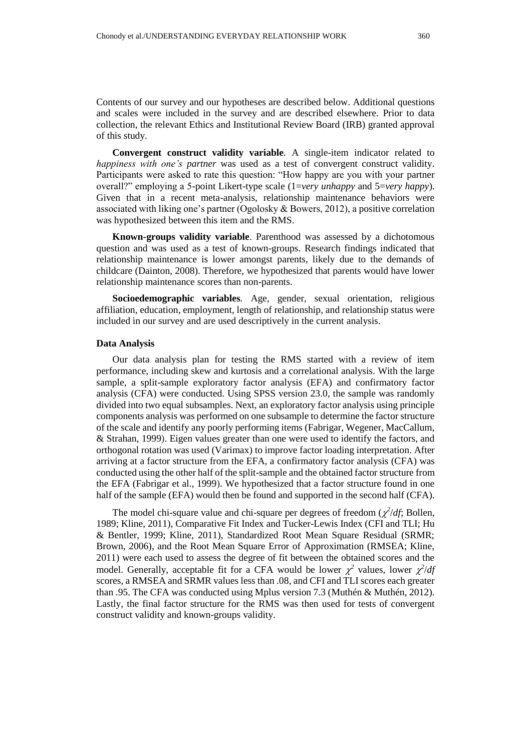Contents of our survey and our hypotheses are described below. Additional questions and scales were included in the survey and are described elsewhere. Prior to data collection, the relevant Ethics and Institutional Review Board (IRB) granted approval of this study.

**Convergent construct validity variable***.* A single-item indicator related to *happiness with one's partner* was used as a test of convergent construct validity. Participants were asked to rate this question: "How happy are you with your partner overall?" employing a 5-point Likert-type scale (1=*very unhappy* and 5=*very happy*). Given that in a recent meta-analysis, relationship maintenance behaviors were associated with liking one's partner (Ogolosky & Bowers, 2012), a positive correlation was hypothesized between this item and the RMS.

**Known-groups validity variable**. Parenthood was assessed by a dichotomous question and was used as a test of known-groups. Research findings indicated that relationship maintenance is lower amongst parents, likely due to the demands of childcare (Dainton, 2008). Therefore, we hypothesized that parents would have lower relationship maintenance scores than non-parents.

**Socioedemographic variables***.* Age, gender, sexual orientation, religious affiliation, education, employment, length of relationship, and relationship status were included in our survey and are used descriptively in the current analysis.

#### **Data Analysis**

Our data analysis plan for testing the RMS started with a review of item performance, including skew and kurtosis and a correlational analysis. With the large sample, a split-sample exploratory factor analysis (EFA) and confirmatory factor analysis (CFA) were conducted. Using SPSS version 23.0, the sample was randomly divided into two equal subsamples. Next, an exploratory factor analysis using principle components analysis was performed on one subsample to determine the factor structure of the scale and identify any poorly performing items (Fabrigar, Wegener, MacCallum, & Strahan, 1999). Eigen values greater than one were used to identify the factors, and orthogonal rotation was used (Varimax) to improve factor loading interpretation. After arriving at a factor structure from the EFA, a confirmatory factor analysis (CFA) was conducted using the other half of the split-sample and the obtained factor structure from the EFA (Fabrigar et al., 1999). We hypothesized that a factor structure found in one half of the sample (EFA) would then be found and supported in the second half (CFA).

The model chi-square value and chi-square per degrees of freedom  $(\chi^2/df)$ ; Bollen, 1989; Kline, 2011), Comparative Fit Index and Tucker-Lewis Index (CFI and TLI; Hu & Bentler, 1999; Kline, 2011), Standardized Root Mean Square Residual (SRMR; Brown, 2006), and the Root Mean Square Error of Approximation (RMSEA; Kline, 2011) were each used to assess the degree of fit between the obtained scores and the model. Generally, acceptable fit for a CFA would be lower  $\chi^2$  values, lower  $\chi^2/df$ scores, a RMSEA and SRMR values less than .08, and CFI and TLI scores each greater than .95. The CFA was conducted using Mplus version 7.3 (Muthén & Muthén, 2012). Lastly, the final factor structure for the RMS was then used for tests of convergent construct validity and known-groups validity.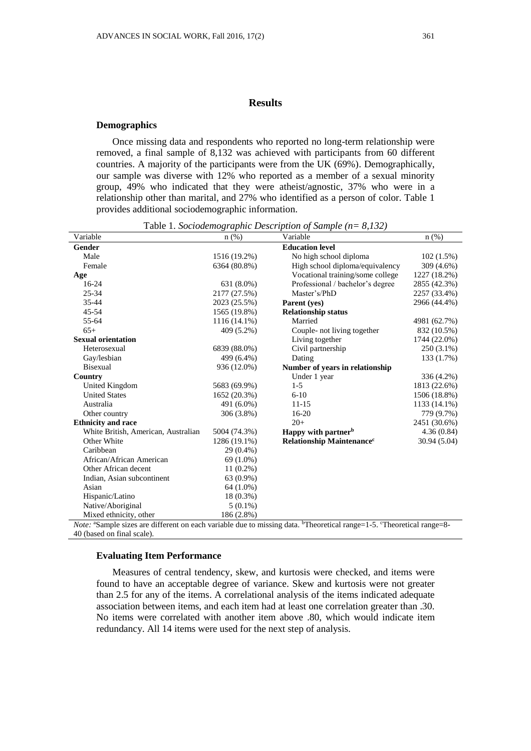## **Results**

#### **Demographics**

Once missing data and respondents who reported no long-term relationship were removed, a final sample of 8,132 was achieved with participants from 60 different countries. A majority of the participants were from the UK (69%). Demographically, our sample was diverse with 12% who reported as a member of a sexual minority group, 49% who indicated that they were atheist/agnostic, 37% who were in a relationship other than marital, and 27% who identified as a person of color. Table 1 provides additional sociodemographic information.

| Variable                                                                                                                       | $n$ (%)                                             | Variable                                         | $n(\%)$      |
|--------------------------------------------------------------------------------------------------------------------------------|-----------------------------------------------------|--------------------------------------------------|--------------|
| Gender                                                                                                                         |                                                     | <b>Education level</b>                           |              |
| Male                                                                                                                           | 1516 (19.2%)                                        | No high school diploma<br>$102(1.5\%)$           |              |
| Female                                                                                                                         | 6364 (80.8%)                                        | High school diploma/equivalency                  | 309 (4.6%)   |
| Age                                                                                                                            |                                                     | Vocational training/some college                 | 1227 (18.2%) |
| $16-24$                                                                                                                        | 631 (8.0%)                                          | Professional / bachelor's degree<br>2855 (42.3%) |              |
| 25-34                                                                                                                          | 2177 (27.5%)                                        | Master's/PhD<br>2257 (33.4%)                     |              |
| $35 - 44$                                                                                                                      | 2023 (25.5%)                                        | Parent (yes)                                     | 2966 (44.4%) |
| 45-54                                                                                                                          | 1565 (19.8%)                                        | <b>Relationship status</b>                       |              |
| 55-64                                                                                                                          | $1116(14.1\%)$                                      | Married<br>4981 (62.7%)                          |              |
| $65+$                                                                                                                          | 409 (5.2%)                                          | Couple- not living together<br>832 (10.5%)       |              |
| <b>Sexual orientation</b>                                                                                                      |                                                     | Living together<br>1744 (22.0%)                  |              |
| Heterosexual                                                                                                                   | 6839 (88.0%)                                        | Civil partnership                                | 250 (3.1%)   |
| Gay/lesbian                                                                                                                    | 499 (6.4%)                                          | Dating                                           | 133 (1.7%)   |
| Bisexual                                                                                                                       | 936 (12.0%)                                         | Number of years in relationship                  |              |
| Country                                                                                                                        |                                                     | Under 1 year                                     | 336 (4.2%)   |
| United Kingdom                                                                                                                 | 5683 (69.9%)                                        | $1-5$                                            | 1813 (22.6%) |
| <b>United States</b>                                                                                                           | 1652 (20.3%)                                        | $6 - 10$                                         | 1506 (18.8%) |
| Australia                                                                                                                      | 491 (6.0%)                                          | $11 - 15$<br>1133 (14.1%)                        |              |
| Other country                                                                                                                  | 306 (3.8%)                                          | $16 - 20$<br>779 (9.7%)                          |              |
| <b>Ethnicity and race</b>                                                                                                      |                                                     | $20+$<br>2451 (30.6%)                            |              |
| White British, American, Australian                                                                                            | 5004 (74.3%)                                        | Happy with partner <sup>b</sup>                  | 4.36(0.84)   |
| Other White                                                                                                                    | 1286 (19.1%)                                        | Relationship Maintenance <sup>c</sup>            | 30.94 (5.04) |
| Caribbean                                                                                                                      | 29 (0.4%)                                           |                                                  |              |
| African/African American                                                                                                       | 69 (1.0%)                                           |                                                  |              |
| Other African decent                                                                                                           | $11(0.2\%)$                                         |                                                  |              |
| Indian, Asian subcontinent                                                                                                     | 63 (0.9%)                                           |                                                  |              |
| Asian                                                                                                                          | 64 (1.0%)                                           |                                                  |              |
| Hispanic/Latino                                                                                                                | 18 (0.3%)                                           |                                                  |              |
| Native/Aboriginal                                                                                                              | $5(0.1\%)$                                          |                                                  |              |
| Mixed ethnicity, other<br>$M_{\text{tot}}$ and $\sigma_{\text{meas}}$ 1. There are $\pi$ if $\Omega_{\text{meas}}$ is $\sigma$ | 186 (2.8%)<br>atolite discuss activities describing |                                                  |              |

Table 1. *Sociodemographic Description of Sample (n= 8,132)*

*Note:* <sup>a</sup>Sample sizes are different on each variable due to missing data. <sup>b</sup>Theoretical range=1-5. cTheoretical range=8-40 (based on final scale).

### **Evaluating Item Performance**

Measures of central tendency, skew, and kurtosis were checked, and items were found to have an acceptable degree of variance. Skew and kurtosis were not greater than 2.5 for any of the items. A correlational analysis of the items indicated adequate association between items, and each item had at least one correlation greater than .30. No items were correlated with another item above .80, which would indicate item redundancy. All 14 items were used for the next step of analysis.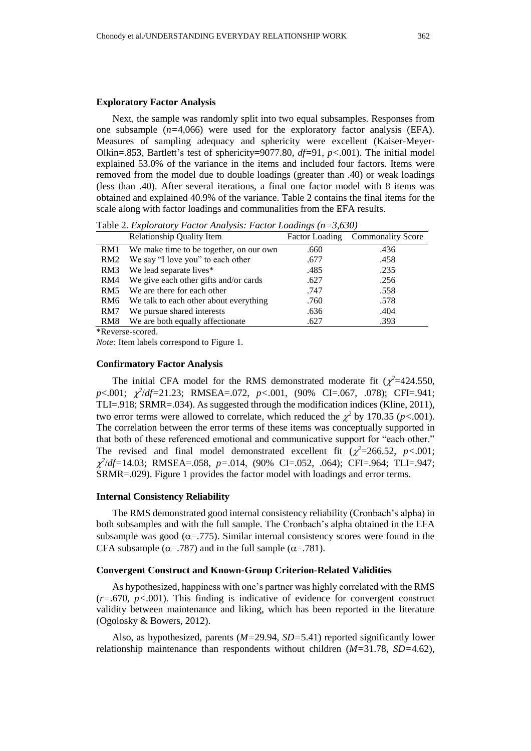#### **Exploratory Factor Analysis**

Next, the sample was randomly split into two equal subsamples. Responses from one subsample  $(n=4,066)$  were used for the exploratory factor analysis (EFA). Measures of sampling adequacy and sphericity were excellent (Kaiser-Meyer-Olkin=.853, Bartlett's test of sphericity=9077.80, *df=*91, *p<*.001). The initial model explained 53.0% of the variance in the items and included four factors. Items were removed from the model due to double loadings (greater than .40) or weak loadings (less than .40). After several iterations, a final one factor model with 8 items was obtained and explained 40.9% of the variance. Table 2 contains the final items for the scale along with factor loadings and communalities from the EFA results.

Table 2. *Exploratory Factor Analysis: Factor Loadings (n=3,630)*

|                 | <b>Relationship Quality Item</b>        |      | Factor Loading Commonality Score |
|-----------------|-----------------------------------------|------|----------------------------------|
| RM1             | We make time to be together, on our own | .660 | .436                             |
| RM <sub>2</sub> | We say "I love you" to each other       | .677 | .458                             |
| RM3             | We lead separate lives*                 | .485 | .235                             |
| RM4             | We give each other gifts and/or cards   | .627 | .256                             |
| RM <sub>5</sub> | We are there for each other             | .747 | .558                             |
| RM <sub>6</sub> | We talk to each other about everything  | .760 | .578                             |
| RM7             | We pursue shared interests              | .636 | .404                             |
| RM <sub>8</sub> | We are both equally affectionate        | .627 | .393                             |

\*Reverse-scored.

*Note:* Item labels correspond to Figure 1.

#### **Confirmatory Factor Analysis**

The initial CFA model for the RMS demonstrated moderate fit  $(\chi^2=424.550,$ *p*<.001; *2* /*df=*21.23; RMSEA=.072, *p<*.001, (90% CI=.067, .078); CFI=.941; TLI=.918; SRMR=.034). As suggested through the modification indices (Kline, 2011), two error terms were allowed to correlate, which reduced the  $\chi^2$  by 170.35 (*p*<.001). The correlation between the error terms of these items was conceptually supported in that both of these referenced emotional and communicative support for "each other." The revised and final model demonstrated excellent fit  $(\chi^2=266.52, p<.001;$  *2* /*df=*14.03; RMSEA=.058, *p=*.014, (90% CI=.052, .064); CFI=.964; TLI=.947; SRMR=.029). Figure 1 provides the factor model with loadings and error terms.

### **Internal Consistency Reliability**

The RMS demonstrated good internal consistency reliability (Cronbach's alpha) in both subsamples and with the full sample. The Cronbach's alpha obtained in the EFA subsample was good ( $\alpha$ =.775). Similar internal consistency scores were found in the CFA subsample ( $\alpha$ =.787) and in the full sample ( $\alpha$ =.781).

### **Convergent Construct and Known-Group Criterion-Related Validities**

As hypothesized, happiness with one's partner was highly correlated with the RMS (*r=*.670, *p<*.001). This finding is indicative of evidence for convergent construct validity between maintenance and liking, which has been reported in the literature (Ogolosky & Bowers, 2012).

Also, as hypothesized, parents (*M=*29.94, *SD=*5.41) reported significantly lower relationship maintenance than respondents without children (*M=*31.78, *SD=*4.62),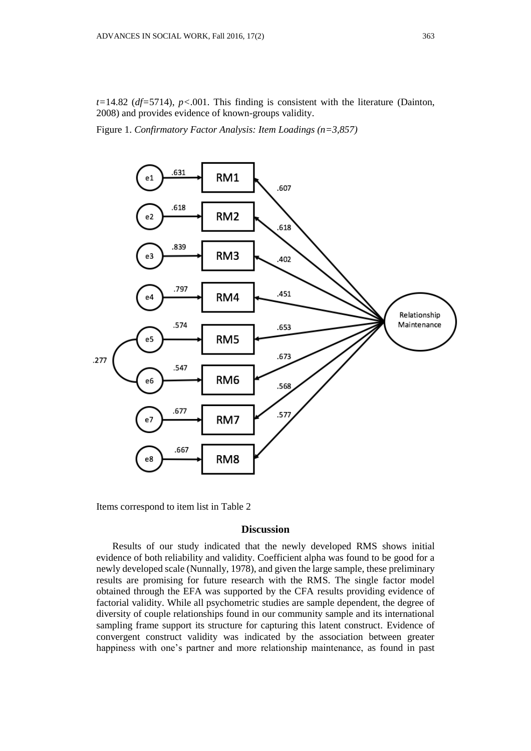*t=*14.82 (*df=*5714), *p<*.001. This finding is consistent with the literature (Dainton, 2008) and provides evidence of known-groups validity.

Figure 1. *Confirmatory Factor Analysis: Item Loadings (n=3,857)*



Items correspond to item list in Table 2

### **Discussion**

Results of our study indicated that the newly developed RMS shows initial evidence of both reliability and validity. Coefficient alpha was found to be good for a newly developed scale (Nunnally, 1978), and given the large sample, these preliminary results are promising for future research with the RMS. The single factor model obtained through the EFA was supported by the CFA results providing evidence of factorial validity. While all psychometric studies are sample dependent, the degree of diversity of couple relationships found in our community sample and its international sampling frame support its structure for capturing this latent construct. Evidence of convergent construct validity was indicated by the association between greater happiness with one's partner and more relationship maintenance, as found in past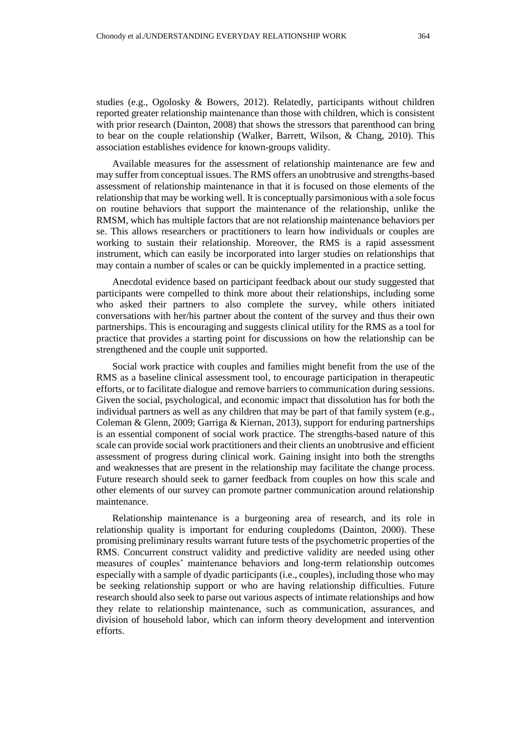studies (e.g., Ogolosky & Bowers, 2012). Relatedly, participants without children reported greater relationship maintenance than those with children, which is consistent with prior research (Dainton, 2008) that shows the stressors that parenthood can bring to bear on the couple relationship (Walker, Barrett, Wilson, & Chang, 2010). This association establishes evidence for known-groups validity.

Available measures for the assessment of relationship maintenance are few and may suffer from conceptual issues. The RMS offers an unobtrusive and strengths-based assessment of relationship maintenance in that it is focused on those elements of the relationship that may be working well. It is conceptually parsimonious with a sole focus on routine behaviors that support the maintenance of the relationship, unlike the RMSM, which has multiple factors that are not relationship maintenance behaviors per se. This allows researchers or practitioners to learn how individuals or couples are working to sustain their relationship. Moreover, the RMS is a rapid assessment instrument, which can easily be incorporated into larger studies on relationships that may contain a number of scales or can be quickly implemented in a practice setting.

Anecdotal evidence based on participant feedback about our study suggested that participants were compelled to think more about their relationships, including some who asked their partners to also complete the survey, while others initiated conversations with her/his partner about the content of the survey and thus their own partnerships. This is encouraging and suggests clinical utility for the RMS as a tool for practice that provides a starting point for discussions on how the relationship can be strengthened and the couple unit supported.

Social work practice with couples and families might benefit from the use of the RMS as a baseline clinical assessment tool, to encourage participation in therapeutic efforts, or to facilitate dialogue and remove barriers to communication during sessions. Given the social, psychological, and economic impact that dissolution has for both the individual partners as well as any children that may be part of that family system (e.g., Coleman & Glenn, 2009; Garriga & Kiernan, 2013), support for enduring partnerships is an essential component of social work practice. The strengths-based nature of this scale can provide social work practitioners and their clients an unobtrusive and efficient assessment of progress during clinical work. Gaining insight into both the strengths and weaknesses that are present in the relationship may facilitate the change process. Future research should seek to garner feedback from couples on how this scale and other elements of our survey can promote partner communication around relationship maintenance.

Relationship maintenance is a burgeoning area of research, and its role in relationship quality is important for enduring coupledoms (Dainton, 2000). These promising preliminary results warrant future tests of the psychometric properties of the RMS. Concurrent construct validity and predictive validity are needed using other measures of couples' maintenance behaviors and long-term relationship outcomes especially with a sample of dyadic participants (i.e., couples), including those who may be seeking relationship support or who are having relationship difficulties. Future research should also seek to parse out various aspects of intimate relationships and how they relate to relationship maintenance, such as communication, assurances, and division of household labor, which can inform theory development and intervention efforts.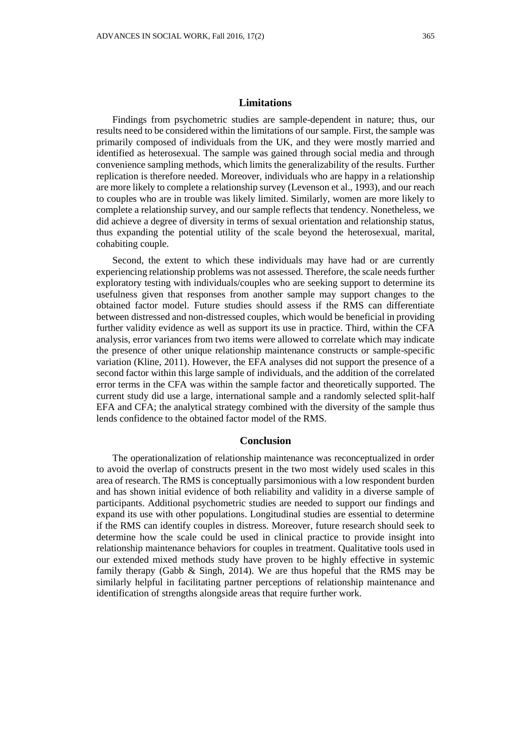Findings from psychometric studies are sample-dependent in nature; thus, our results need to be considered within the limitations of our sample. First, the sample was primarily composed of individuals from the UK, and they were mostly married and identified as heterosexual. The sample was gained through social media and through convenience sampling methods, which limits the generalizability of the results. Further replication is therefore needed. Moreover, individuals who are happy in a relationship are more likely to complete a relationship survey (Levenson et al., 1993), and our reach to couples who are in trouble was likely limited. Similarly, women are more likely to complete a relationship survey, and our sample reflects that tendency. Nonetheless, we did achieve a degree of diversity in terms of sexual orientation and relationship status, thus expanding the potential utility of the scale beyond the heterosexual, marital, cohabiting couple.

Second, the extent to which these individuals may have had or are currently experiencing relationship problems was not assessed. Therefore, the scale needs further exploratory testing with individuals/couples who are seeking support to determine its usefulness given that responses from another sample may support changes to the obtained factor model. Future studies should assess if the RMS can differentiate between distressed and non-distressed couples, which would be beneficial in providing further validity evidence as well as support its use in practice. Third, within the CFA analysis, error variances from two items were allowed to correlate which may indicate the presence of other unique relationship maintenance constructs or sample-specific variation (Kline, 2011). However, the EFA analyses did not support the presence of a second factor within this large sample of individuals, and the addition of the correlated error terms in the CFA was within the sample factor and theoretically supported. The current study did use a large, international sample and a randomly selected split-half EFA and CFA; the analytical strategy combined with the diversity of the sample thus lends confidence to the obtained factor model of the RMS.

## **Conclusion**

The operationalization of relationship maintenance was reconceptualized in order to avoid the overlap of constructs present in the two most widely used scales in this area of research. The RMS is conceptually parsimonious with a low respondent burden and has shown initial evidence of both reliability and validity in a diverse sample of participants. Additional psychometric studies are needed to support our findings and expand its use with other populations. Longitudinal studies are essential to determine if the RMS can identify couples in distress. Moreover, future research should seek to determine how the scale could be used in clinical practice to provide insight into relationship maintenance behaviors for couples in treatment. Qualitative tools used in our extended mixed methods study have proven to be highly effective in systemic family therapy (Gabb & Singh, 2014). We are thus hopeful that the RMS may be similarly helpful in facilitating partner perceptions of relationship maintenance and identification of strengths alongside areas that require further work.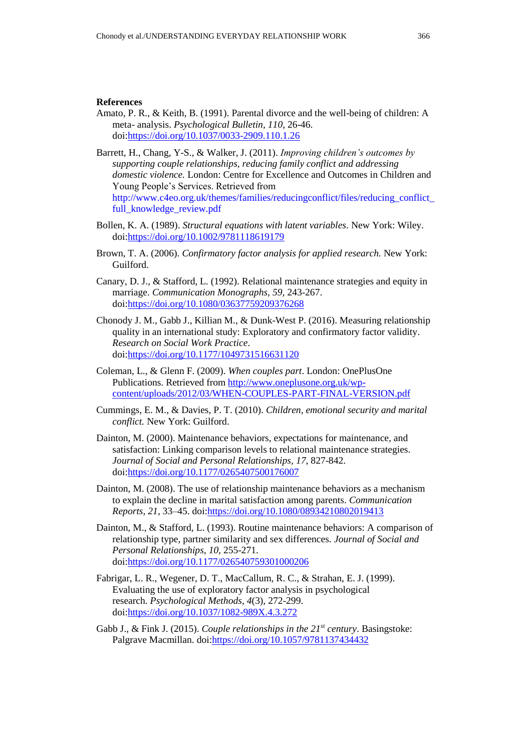### **References**

- Amato, P. R., & Keith, B. (1991). Parental divorce and the well-being of children: A meta- analysis. *Psychological Bulletin, 110,* 26-46. doi[:https://doi.org/10.1037/0033-2909.110.1.26](https://doi.org/10.1037/0033-2909.110.1.26)
- Barrett, H., Chang, Y-S., & Walker, J. (2011). *Improving children's outcomes by supporting couple relationships, reducing family conflict and addressing domestic violence.* London: Centre for Excellence and Outcomes in Children and Young People's Services. Retrieved from http://www.c4eo.org.uk/themes/families/reducingconflict/files/reducing\_conflict\_ full\_knowledge\_review.pdf
- Bollen, K. A. (1989). *Structural equations with latent variables*. New York: Wiley. [doi:https://doi.org/10.1002/9781118619179](https://doi.org/10.1002/9781118619179)
- Brown, T. A. (2006). *Confirmatory factor analysis for applied research.* New York: Guilford.
- Canary, D. J., & Stafford, L. (1992). Relational maintenance strategies and equity in marriage. *Communication Monographs, 59,* 243-267. doi[:https://doi.org/10.1080/03637759209376268](https://doi.org/10.1080/03637759209376268)
- Chonody J. M., Gabb J., Killian M., & Dunk-West P. (2016). Measuring relationship quality in an international study: Exploratory and confirmatory factor validity. *Research on Social Work Practice*. doi[:https://doi.org/10.1177/1049731516631120](https://doi.org/10.1177/1049731516631120)
- Coleman, L., & Glenn F. (2009). *When couples part*. London: OnePlusOne Publications. Retrieved from [http://www.oneplusone.org.uk/wp](http://www.oneplusone.org.uk/wp-content/uploads/2012/03/WHEN-COUPLES-PART-FINAL-VERSION.pdf)[content/uploads/2012/03/WHEN-COUPLES-PART-FINAL-VERSION.pdf](http://www.oneplusone.org.uk/wp-content/uploads/2012/03/WHEN-COUPLES-PART-FINAL-VERSION.pdf)
- Cummings, E. M., & Davies, P. T. (2010). *Children, emotional security and marital conflict.* New York: Guilford.
- Dainton, M. (2000). Maintenance behaviors, expectations for maintenance, and satisfaction: Linking comparison levels to relational maintenance strategies. *Journal of Social and Personal Relationships, 17,* 827-842. doi[:https://doi.org/10.1177/0265407500176007](https://doi.org/10.1177/0265407500176007)
- Dainton, M. (2008). The use of relationship maintenance behaviors as a mechanism to explain the decline in marital satisfaction among parents. *Communication Reports, 21,* 33–45. doi[:https://doi.org/10.1080/08934210802019413](https://doi.org/10.1080/08934210802019413)
- Dainton, M., & Stafford, L. (1993). Routine maintenance behaviors: A comparison of relationship type, partner similarity and sex differences. *Journal of Social and Personal Relationships, 10,* 255-271. doi[:https://doi.org/10.1177/026540759301000206](https://doi.org/10.1177/026540759301000206)
- Fabrigar, L. R., Wegener, D. T., MacCallum, R. C., & Strahan, E. J. (1999). Evaluating the use of exploratory factor analysis in psychological research. *Psychological Methods*, *4*(3), 272-299. doi[:https://doi.org/10.1037/1082-989X.4.3.272](https://doi.org/10.1037/1082-989X.4.3.272)
- Gabb J., & Fink J. (2015). *Couple relationships in the 21st century*. Basingstoke: Palgrave Macmillan. doi[:https://doi.org/10.1057/9781137434432](https://doi.org/10.1057/9781137434432)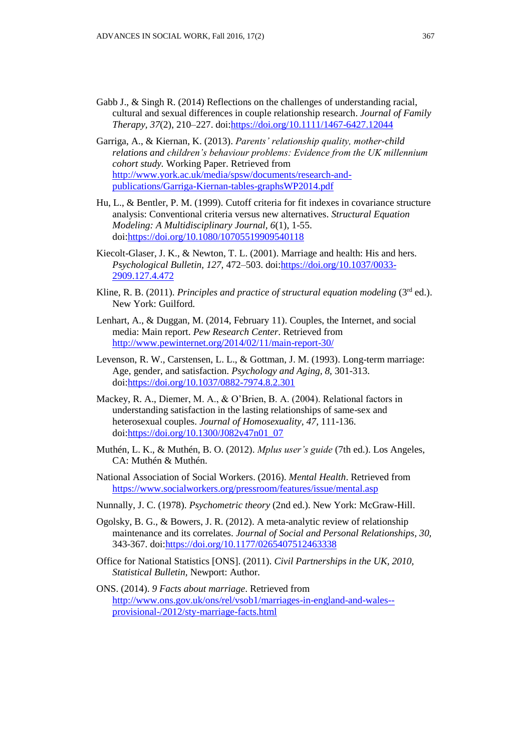- Gabb J., & Singh R. (2014) Reflections on the challenges of understanding racial, cultural and sexual differences in couple relationship research. *Journal of Family Therapy, 37*(2), 210–227. doi[:https://doi.org/10.1111/1467-6427.12044](https://doi.org/10.1111/1467-6427.12044)
- Garriga, A., & Kiernan, K. (2013). *Parents' relationship quality, mother-child relations and children's behaviour problems: Evidence from the UK millennium cohort study.* Working Paper. Retrieved from [http://www.york.ac.uk/media/spsw/documents/research-and](http://www.york.ac.uk/media/spsw/documents/research-and-publications/Garriga-Kiernan-tables-graphsWP2014.pdf)[publications/Garriga-Kiernan-tables-graphsWP2014.pdf](http://www.york.ac.uk/media/spsw/documents/research-and-publications/Garriga-Kiernan-tables-graphsWP2014.pdf)
- Hu, L., & Bentler, P. M. (1999). Cutoff criteria for fit indexes in covariance structure analysis: Conventional criteria versus new alternatives. *Structural Equation Modeling: A Multidisciplinary Journal, 6*(1), 1-55. doi[:https://doi.org/10.1080/10705519909540118](https://doi.org/10.1080/10705519909540118)
- Kiecolt-Glaser, J. K., & Newton, T. L. (2001). Marriage and health: His and hers. *Psychological Bulletin, 127,* 472–503. doi[:https://doi.org/10.1037/0033-](https://doi.org/10.1037/0033-2909.127.4.472) [2909.127.4.472](https://doi.org/10.1037/0033-2909.127.4.472)
- Kline, R. B. (2011). *Principles and practice of structural equation modeling* (3<sup>rd</sup> ed.). New York: Guilford.
- Lenhart, A., & Duggan, M. (2014, February 11). Couples, the Internet, and social media: Main report. *Pew Research Center*. Retrieved from <http://www.pewinternet.org/2014/02/11/main-report-30/>
- Levenson, R. W., Carstensen, L. L., & Gottman, J. M. (1993). Long-term marriage: Age, gender, and satisfaction. *Psychology and Aging, 8,* 301-313. doi[:https://doi.org/10.1037/0882-7974.8.2.301](https://doi.org/10.1037/0882-7974.8.2.301)
- Mackey, R. A., Diemer, M. A., & O'Brien, B. A. (2004). Relational factors in understanding satisfaction in the lasting relationships of same-sex and heterosexual couples. *Journal of Homosexuality, 47,* 111-136. doi[:https://doi.org/10.1300/J082v47n01\\_07](https://doi.org/10.1300/J082v47n01_07)
- Muthén, L. K., & Muthén, B. O. (2012). *Mplus user's guide* (7th ed.). Los Angeles, CA: Muthén & Muthén.
- National Association of Social Workers. (2016). *Mental Health*. Retrieved from <https://www.socialworkers.org/pressroom/features/issue/mental.asp>
- Nunnally, J. C. (1978). *Psychometric theory* (2nd ed.). New York: McGraw-Hill.
- Ogolsky, B. G., & Bowers, J. R. (2012). A meta-analytic review of relationship maintenance and its correlates. *Journal of Social and Personal Relationships, 30,* 343-367. doi[:https://doi.org/10.1177/0265407512463338](https://doi.org/10.1177/0265407512463338)
- <span id="page-12-1"></span>Office for National Statistics [ONS]. (2011). *Civil Partnerships in the UK, 2010, Statistical Bulletin,* Newport: Author.
- <span id="page-12-0"></span>ONS. (2014). *9 Facts about marriage*. Retrieved from [http://www.ons.gov.uk/ons/rel/vsob1/marriages-in-england-and-wales-](http://www.ons.gov.uk/ons/rel/vsob1/marriages-in-england-and-wales--provisional-/2012/sty-marriage-facts.html) [provisional-/2012/sty-marriage-facts.html](http://www.ons.gov.uk/ons/rel/vsob1/marriages-in-england-and-wales--provisional-/2012/sty-marriage-facts.html)